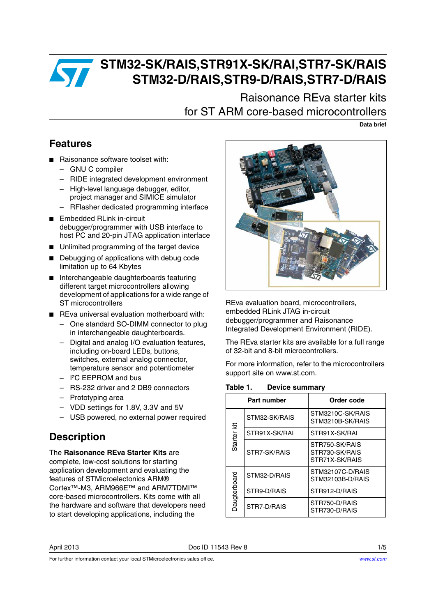

# **STM32-SK/RAIS,STR91X-SK/RAI,STR7-SK/RAIS STM32-D/RAIS,STR9-D/RAIS,STR7-D/RAIS**

Raisonance REva starter kits for ST ARM core-based microcontrollers

**Data brief**

### <span id="page-0-0"></span>**Features**

- Raisonance software toolset with:
	- GNU C compiler
	- RIDE integrated development environment
	- High-level language debugger, editor, project manager and SIMICE simulator
	- RFlasher dedicated programming interface
- Embedded RLink in-circuit debugger/programmer with USB interface to host PC and 20-pin JTAG application interface
- Unlimited programming of the target device
- Debugging of applications with debug code limitation up to 64 Kbytes
- Interchangeable daughterboards featuring different target microcontrollers allowing development of applications for a wide range of ST microcontrollers
- REva universal evaluation motherboard with:
	- One standard SO-DIMM connector to plug in interchangeable daughterboards.
	- Digital and analog I/O evaluation features, including on-board LEDs, buttons, switches, external analog connector, temperature sensor and potentiometer
	- I²C EEPROM and bus
	- RS-232 driver and 2 DB9 connectors
	- Prototyping area
	- VDD settings for 1.8V, 3.3V and 5V
	- USB powered, no external power required

### <span id="page-0-1"></span>**Description**

The **Raisonance REva Starter Kits** are complete, low-cost solutions for starting application development and evaluating the features of STMicroelectonics ARM® Cortex™-M3, ARM966E™ and ARM7TDMI™ core-based microcontrollers. Kits come with all the hardware and software that developers need to start developing applications, including the



REva evaluation board, microcontrollers, embedded RLink JTAG in-circuit debugger/programmer and Raisonance Integrated Development Environment (RIDE).

The REva starter kits are available for a full range of 32-bit and 8-bit microcontrollers.

For more information, refer to the microcontrollers support site on www.st.com.

Table 1. **Table 1. Device summary**

|              | Part number   | Order code                                         |  |  |
|--------------|---------------|----------------------------------------------------|--|--|
| Starter kit  | STM32-SK/RAIS | STM3210C-SK/RAIS<br>STM3210B-SK/RAIS               |  |  |
|              | STR91X-SK/RAI | STR91X-SK/RAI                                      |  |  |
|              | STR7-SK/RAIS  | STR750-SK/RAIS<br>STR730-SK/RAIS<br>STR71X-SK/RAIS |  |  |
| Daugterboard | STM32-D/RAIS  | STM32107C-D/RAIS<br>STM32103B-D/RAIS               |  |  |
|              | STR9-D/RAIS   | STR912-D/RAIS                                      |  |  |
|              | STR7-D/RAIS   | STR750-D/RAIS<br>STR730-D/RAIS                     |  |  |

For further information contact your local STMicroelectronics sales office.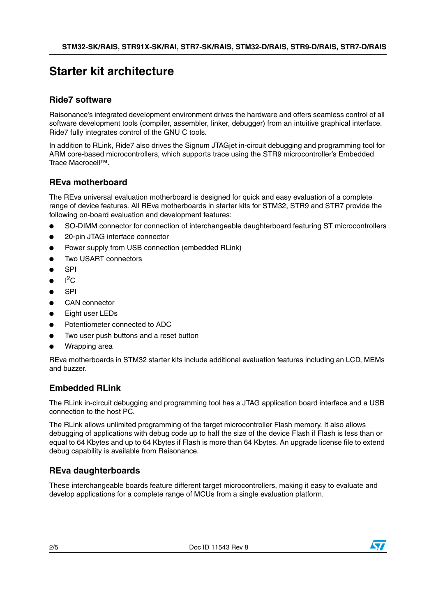### **Starter kit architecture**

#### **Ride7 software**

Raisonance's integrated development environment drives the hardware and offers seamless control of all software development tools (compiler, assembler, linker, debugger) from an intuitive graphical interface. Ride7 fully integrates control of the GNU C tools.

In addition to RLink, Ride7 also drives the Signum JTAGjet in-circuit debugging and programming tool for ARM core-based microcontrollers, which supports trace using the STR9 microcontroller's Embedded Trace Macrocell™.

#### **REva motherboard**

The REva universal evaluation motherboard is designed for quick and easy evaluation of a complete range of device features. All REva motherboards in starter kits for STM32, STR9 and STR7 provide the following on-board evaluation and development features:

- SO-DIMM connector for connection of interchangeable daughterboard featuring ST microcontrollers
- 20-pin JTAG interface connector
- Power supply from USB connection (embedded RLink)
- Two USART connectors
- **SPI**
- $\bullet$  I<sup>2</sup>C
- SPI
- CAN connector
- Eight user LEDs
- Potentiometer connected to ADC
- Two user push buttons and a reset button
- Wrapping area

REva motherboards in STM32 starter kits include additional evaluation features including an LCD, MEMs and buzzer.

#### <span id="page-1-0"></span>**Embedded RLink**

The RLink in-circuit debugging and programming tool has a JTAG application board interface and a USB connection to the host PC.

The RLink allows unlimited programming of the target microcontroller Flash memory. It also allows debugging of applications with debug code up to half the size of the device Flash if Flash is less than or equal to 64 Kbytes and up to 64 Kbytes if Flash is more than 64 Kbytes. An upgrade license file to extend debug capability is available from Raisonance.

### **REva daughterboards**

These interchangeable boards feature different target microcontrollers, making it easy to evaluate and develop applications for a complete range of MCUs from a single evaluation platform.

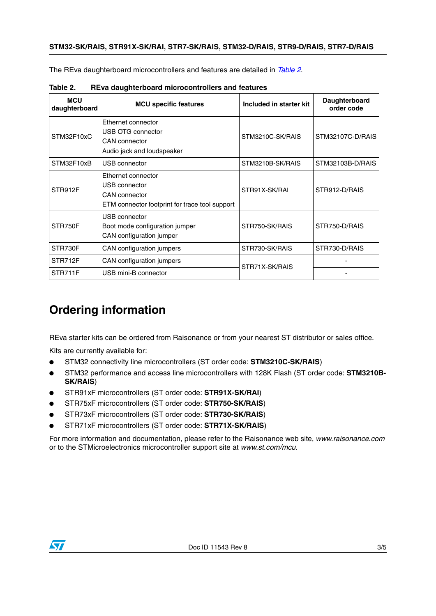The REva daughterboard microcontrollers and features are detailed in *[Table 2](#page-2-0)*.

| <b>MCU</b><br>daughterboard | <b>MCU specific features</b>                                                                                  | Included in starter kit | <b>Daughterboard</b><br>order code |
|-----------------------------|---------------------------------------------------------------------------------------------------------------|-------------------------|------------------------------------|
| STM32F10xC                  | Ethernet connector<br>USB OTG connector<br><b>CAN</b> connector<br>Audio jack and loudspeaker                 | STM3210C-SK/RAIS        | STM32107C-D/RAIS                   |
| STM32F10xB                  | USB connector                                                                                                 | STM3210B-SK/RAIS        | STM32103B-D/RAIS                   |
| STR912F                     | Ethernet connector<br>USB connector<br><b>CAN</b> connector<br>ETM connector footprint for trace tool support | STR91X-SK/RAI           | STR912-D/RAIS                      |
| STR750F                     | USB connector<br>Boot mode configuration jumper<br>CAN configuration jumper                                   | STR750-SK/RAIS          | STR750-D/RAIS                      |
| STR730F                     | CAN configuration jumpers                                                                                     | STR730-SK/RAIS          | STR730-D/RAIS                      |
| STR712F                     | CAN configuration jumpers                                                                                     | STR71X-SK/RAIS          |                                    |
| STR711F                     | USB mini-B connector                                                                                          |                         |                                    |

<span id="page-2-0"></span>Table 2. **Table 2. REva daughterboard microcontrollers and features**

# <span id="page-2-1"></span>**Ordering information**

REva starter kits can be ordered from Raisonance or from your nearest ST distributor or sales office.

Kits are currently available for:

- STM32 connectivity line microcontrollers (ST order code: **STM3210C-SK/RAIS**)
- STM32 performance and access line microcontrollers with 128K Flash (ST order code: **STM3210B**-**SK/RAIS**)
- STR91xF microcontrollers (ST order code: **STR91X-SK/RAI**)
- STR75xF microcontrollers (ST order code: **STR750-SK/RAIS**)
- STR73xF microcontrollers (ST order code: **STR730-SK/RAIS**)
- STR71xF microcontrollers (ST order code: **STR71X-SK/RAIS**)

For more information and documentation, please refer to the Raisonance web site, *www.raisonance.com* or to the STMicroelectronics microcontroller support site at *www.st.com/mcu*.

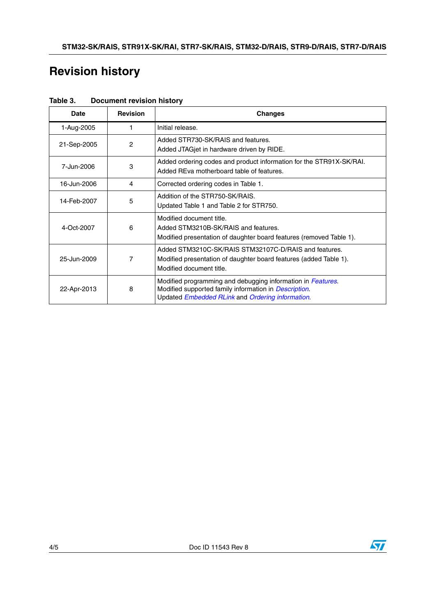## **Revision history**

| <b>Date</b> | <b>Revision</b> | <b>Changes</b>                                                                                                                                                                   |
|-------------|-----------------|----------------------------------------------------------------------------------------------------------------------------------------------------------------------------------|
| 1-Aug-2005  |                 | Initial release.                                                                                                                                                                 |
| 21-Sep-2005 | $\overline{c}$  | Added STR730-SK/RAIS and features.<br>Added JTAGjet in hardware driven by RIDE.                                                                                                  |
| 7-Jun-2006  | 3               | Added ordering codes and product information for the STR91X-SK/RAI.<br>Added REva motherboard table of features.                                                                 |
| 16-Jun-2006 | 4               | Corrected ordering codes in Table 1.                                                                                                                                             |
| 14-Feb-2007 | 5               | Addition of the STR750-SK/RAIS.<br>Updated Table 1 and Table 2 for STR750.                                                                                                       |
| 4-Oct-2007  | 6               | Modified document title.<br>Added STM3210B-SK/RAIS and features.<br>Modified presentation of daughter board features (removed Table 1).                                          |
| 25-Jun-2009 | 7               | Added STM3210C-SK/RAIS STM32107C-D/RAIS and features.<br>Modified presentation of daughter board features (added Table 1).<br>Modified document title.                           |
| 22-Apr-2013 | 8               | Modified programming and debugging information in Features.<br>Modified supported family information in <i>Description</i> .<br>Updated Embedded RLink and Ordering information. |

Table 3. **Document revision history**